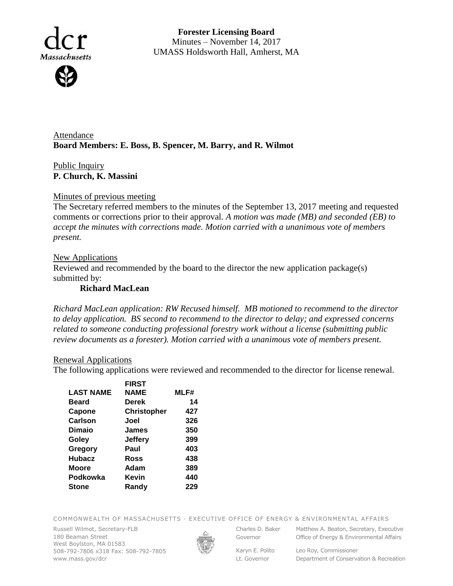

**Forester Licensing Board**  Minutes – November 14, 2017 UMASS Holdsworth Hall, Amherst, MA

Attendance **Board Members: E. Boss, B. Spencer, M. Barry, and R. Wilmot**

Public Inquiry **P. Church, K. Massini**

### Minutes of previous meeting

The Secretary referred members to the minutes of the September 13, 2017 meeting and requested comments or corrections prior to their approval. *A motion was made (MB) and seconded (EB) to accept the minutes with corrections made. Motion carried with a unanimous vote of members present.*

### **New Applications**

Reviewed and recommended by the board to the director the new application package(s) submitted by:

## **Richard MacLean**

*Richard MacLean application: RW Recused himself. MB motioned to recommend to the director to delay application. BS second to recommend to the director to delay; and expressed concerns related to someone conducting professional forestry work without a license (submitting public review documents as a forester). Motion carried with a unanimous vote of members present.*

#### Renewal Applications

The following applications were reviewed and recommended to the director for license renewal.

|                  | <b>FIRST</b>       |      |
|------------------|--------------------|------|
| <b>LAST NAME</b> | <b>NAME</b>        | MLF# |
| <b>Beard</b>     | Derek              | 14   |
| Capone           | <b>Christopher</b> | 427  |
| Carlson          | Joel               | 326  |
| Dimaio           | James              | 350  |
| Goley            | Jeffery            | 399  |
| Gregory          | Paul               | 403  |
| <b>Hubacz</b>    | Ross               | 438  |
| Moore            | Adam               | 389  |
| Podkowka         | Kevin              | 440  |
| <b>Stone</b>     | Randy              | 229  |
|                  |                    |      |

COMMONWEALTH OF MASSACHUSETTS · EXECUTIVE OFFICE OF ENERGY & ENVIRONMENTAL AFFAIRS

Russell Wilmot, Secretary-FLB 180 Beaman Street West Boylston, MA 01583 508-792-7806 x318 Fax: 508-792-7805 www.mass.gov/dcr



Governor

Karyn E. Polito Lt. Governor

Charles D. Baker Matthew A. Beaton, Secretary, Executive Office of Energy & Environmental Affairs

> Leo Roy, Commissioner Department of Conservation & Recreation